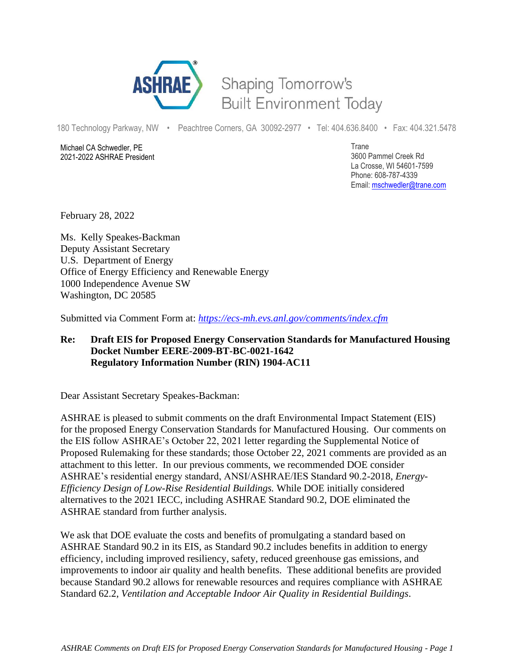

## Shaping Tomorrow's **Built Environment Today**

180 Technology Parkway, NW • Peachtree Corners, GA 30092-2977 • Tel: 404.636.8400 • Fax: 404.321.5478

Michael CA Schwedler, PE 2021-2022 ASHRAE President Trane 3600 Pammel Creek Rd La Crosse, WI 54601-7599 Phone: 608-787-4339 Email: [mschwedler@trane.com](about:blank)

February 28, 2022

Ms. Kelly Speakes-Backman Deputy Assistant Secretary U.S. Department of Energy Office of Energy Efficiency and Renewable Energy 1000 Independence Avenue SW Washington, DC 20585

Submitted via Comment Form at: *<https://ecs-mh.evs.anl.gov/comments/index.cfm>*

## **Re: Draft EIS for Proposed Energy Conservation Standards for Manufactured Housing Docket Number EERE-2009-BT-BC-0021-1642 Regulatory Information Number (RIN) 1904-AC11**

Dear Assistant Secretary Speakes-Backman:

ASHRAE is pleased to submit comments on the draft Environmental Impact Statement (EIS) for the proposed Energy Conservation Standards for Manufactured Housing. Our comments on the EIS follow ASHRAE's October 22, 2021 letter regarding the Supplemental Notice of Proposed Rulemaking for these standards; those October 22, 2021 comments are provided as an attachment to this letter. In our previous comments, we recommended DOE consider ASHRAE's residential energy standard, ANSI/ASHRAE/IES Standard 90.2-2018, *Energy-Efficiency Design of Low-Rise Residential Buildings.* While DOE initially considered alternatives to the 2021 IECC, including ASHRAE Standard 90.2, DOE eliminated the ASHRAE standard from further analysis.

We ask that DOE evaluate the costs and benefits of promulgating a standard based on ASHRAE Standard 90.2 in its EIS, as Standard 90.2 includes benefits in addition to energy efficiency, including improved resiliency, safety, reduced greenhouse gas emissions, and improvements to indoor air quality and health benefits. These additional benefits are provided because Standard 90.2 allows for renewable resources and requires compliance with ASHRAE Standard 62.2, *Ventilation and Acceptable Indoor Air Quality in Residential Buildings*.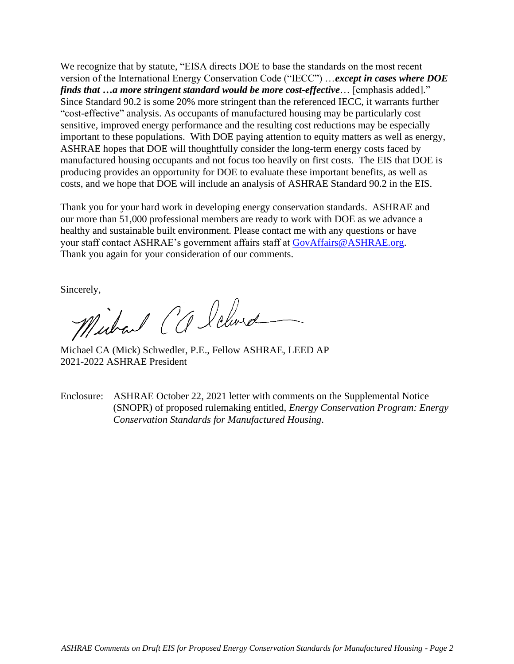We recognize that by statute, "EISA directs DOE to base the standards on the most recent version of the International Energy Conservation Code ("IECC") …*except in cases where DOE finds that …a more stringent standard would be more cost-effective*… [emphasis added]." Since Standard 90.2 is some 20% more stringent than the referenced IECC, it warrants further "cost-effective" analysis. As occupants of manufactured housing may be particularly cost sensitive, improved energy performance and the resulting cost reductions may be especially important to these populations. With DOE paying attention to equity matters as well as energy, ASHRAE hopes that DOE will thoughtfully consider the long-term energy costs faced by manufactured housing occupants and not focus too heavily on first costs. The EIS that DOE is producing provides an opportunity for DOE to evaluate these important benefits, as well as costs, and we hope that DOE will include an analysis of ASHRAE Standard 90.2 in the EIS.

Thank you for your hard work in developing energy conservation standards. ASHRAE and our more than 51,000 professional members are ready to work with DOE as we advance a healthy and sustainable built environment. Please contact me with any questions or have your staff contact ASHRAE's government affairs staff at [GovAffairs@ASHRAE.org.](about:blank) Thank you again for your consideration of our comments.

Sincerely,<br>Michael CCleberd

Michael CA (Mick) Schwedler, P.E., Fellow ASHRAE, LEED AP 2021-2022 ASHRAE President

Enclosure: ASHRAE October 22, 2021 letter with comments on the Supplemental Notice (SNOPR) of proposed rulemaking entitled, *Energy Conservation Program: Energy Conservation Standards for Manufactured Housing*.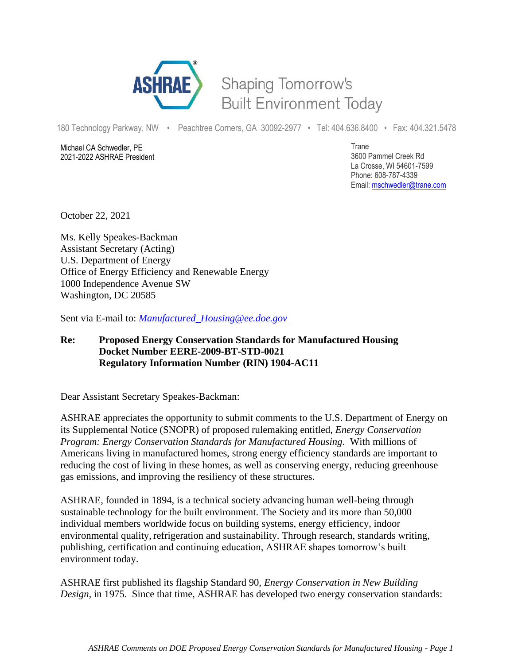

## Shaping Tomorrow's **Built Environment Today**

180 Technology Parkway, NW • Peachtree Corners, GA 30092-2977 • Tel: 404.636.8400 • Fax: 404.321.5478

Michael CA Schwedler, PE 2021-2022 ASHRAE President Trane 3600 Pammel Creek Rd La Crosse, WI 54601-7599 Phone: 608-787-4339 Email: [mschwedler@trane.com](about:blank)

October 22, 2021

Ms. Kelly Speakes-Backman Assistant Secretary (Acting) U.S. Department of Energy Office of Energy Efficiency and Renewable Energy 1000 Independence Avenue SW Washington, DC 20585

Sent via E-mail to: *[Manufactured\\_Housing@ee.doe.gov](about:blank)*

## **Re: Proposed Energy Conservation Standards for Manufactured Housing Docket Number EERE-2009-BT-STD-0021 Regulatory Information Number (RIN) 1904-AC11**

Dear Assistant Secretary Speakes-Backman:

ASHRAE appreciates the opportunity to submit comments to the U.S. Department of Energy on its Supplemental Notice (SNOPR) of proposed rulemaking entitled, *Energy Conservation Program: Energy Conservation Standards for Manufactured Housing*. With millions of Americans living in manufactured homes, strong energy efficiency standards are important to reducing the cost of living in these homes, as well as conserving energy, reducing greenhouse gas emissions, and improving the resiliency of these structures.

ASHRAE, founded in 1894, is a technical society advancing human well-being through sustainable technology for the built environment. The Society and its more than 50,000 individual members worldwide focus on building systems, energy efficiency, indoor environmental quality, refrigeration and sustainability. Through research, standards writing, publishing, certification and continuing education, ASHRAE shapes tomorrow's built environment today.

ASHRAE first published its flagship Standard 90, *Energy Conservation in New Building Design,* in 1975. Since that time, ASHRAE has developed two energy conservation standards: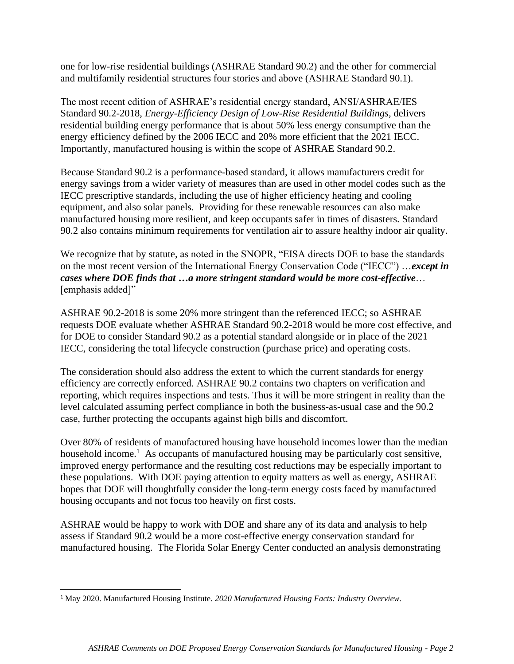one for low-rise residential buildings (ASHRAE Standard 90.2) and the other for commercial and multifamily residential structures four stories and above (ASHRAE Standard 90.1).

The most recent edition of ASHRAE's residential energy standard, ANSI/ASHRAE/IES Standard 90.2-2018, *Energy-Efficiency Design of Low-Rise Residential Buildings,* delivers residential building energy performance that is about 50% less energy consumptive than the energy efficiency defined by the 2006 IECC and 20% more efficient that the 2021 IECC. Importantly, manufactured housing is within the scope of ASHRAE Standard 90.2.

Because Standard 90.2 is a performance-based standard, it allows manufacturers credit for energy savings from a wider variety of measures than are used in other model codes such as the IECC prescriptive standards, including the use of higher efficiency heating and cooling equipment, and also solar panels. Providing for these renewable resources can also make manufactured housing more resilient, and keep occupants safer in times of disasters. Standard 90.2 also contains minimum requirements for ventilation air to assure healthy indoor air quality.

We recognize that by statute, as noted in the SNOPR, "EISA directs DOE to base the standards on the most recent version of the International Energy Conservation Code ("IECC") …*except in cases where DOE finds that …a more stringent standard would be more cost-effective*… [emphasis added]"

ASHRAE 90.2-2018 is some 20% more stringent than the referenced IECC; so ASHRAE requests DOE evaluate whether ASHRAE Standard 90.2-2018 would be more cost effective, and for DOE to consider Standard 90.2 as a potential standard alongside or in place of the 2021 IECC, considering the total lifecycle construction (purchase price) and operating costs.

The consideration should also address the extent to which the current standards for energy efficiency are correctly enforced. ASHRAE 90.2 contains two chapters on verification and reporting, which requires inspections and tests. Thus it will be more stringent in reality than the level calculated assuming perfect compliance in both the business-as-usual case and the 90.2 case, further protecting the occupants against high bills and discomfort.

Over 80% of residents of manufactured housing have household incomes lower than the median household income.<sup>1</sup> As occupants of manufactured housing may be particularly cost sensitive, improved energy performance and the resulting cost reductions may be especially important to these populations. With DOE paying attention to equity matters as well as energy, ASHRAE hopes that DOE will thoughtfully consider the long-term energy costs faced by manufactured housing occupants and not focus too heavily on first costs.

ASHRAE would be happy to work with DOE and share any of its data and analysis to help assess if Standard 90.2 would be a more cost-effective energy conservation standard for manufactured housing. The Florida Solar Energy Center conducted an analysis demonstrating

<sup>1</sup> May 2020. Manufactured Housing Institute. *2020 Manufactured Housing Facts: Industry Overview.*